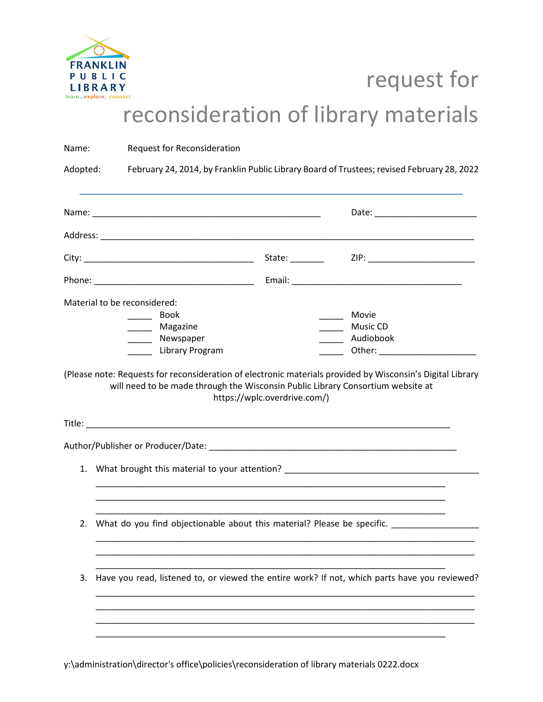

## request for reconsideration of library materials

| Name:    |                                                                                                                                                                |                                      | Request for Reconsideration    |                                                                                                                 |  |                                        |                                                                                                            |  |  |
|----------|----------------------------------------------------------------------------------------------------------------------------------------------------------------|--------------------------------------|--------------------------------|-----------------------------------------------------------------------------------------------------------------|--|----------------------------------------|------------------------------------------------------------------------------------------------------------|--|--|
| Adopted: | February 24, 2014, by Franklin Public Library Board of Trustees; revised February 28, 2022                                                                     |                                      |                                |                                                                                                                 |  |                                        |                                                                                                            |  |  |
|          |                                                                                                                                                                |                                      |                                |                                                                                                                 |  |                                        |                                                                                                            |  |  |
|          |                                                                                                                                                                |                                      |                                |                                                                                                                 |  |                                        |                                                                                                            |  |  |
|          |                                                                                                                                                                |                                      |                                |                                                                                                                 |  |                                        |                                                                                                            |  |  |
|          |                                                                                                                                                                |                                      |                                |                                                                                                                 |  |                                        |                                                                                                            |  |  |
|          |                                                                                                                                                                | _______ Magazine<br>______ Newspaper | <b>Book</b><br>Library Program | will need to be made through the Wisconsin Public Library Consortium website at<br>https://wplc.overdrive.com/) |  | Movie<br>Music CD<br>_______ Audiobook | (Please note: Requests for reconsideration of electronic materials provided by Wisconsin's Digital Library |  |  |
| 1.       |                                                                                                                                                                |                                      |                                |                                                                                                                 |  |                                        |                                                                                                            |  |  |
|          | What brought this material to your attention? __________________________________<br>2. What do you find objectionable about this material? Please be specific. |                                      |                                |                                                                                                                 |  |                                        |                                                                                                            |  |  |
| 3.       |                                                                                                                                                                |                                      |                                |                                                                                                                 |  |                                        | Have you read, listened to, or viewed the entire work? If not, which parts have you reviewed?              |  |  |
|          |                                                                                                                                                                |                                      |                                |                                                                                                                 |  |                                        |                                                                                                            |  |  |

y:\administration\director's office\policies\reconsideration of library materials 0222.docx